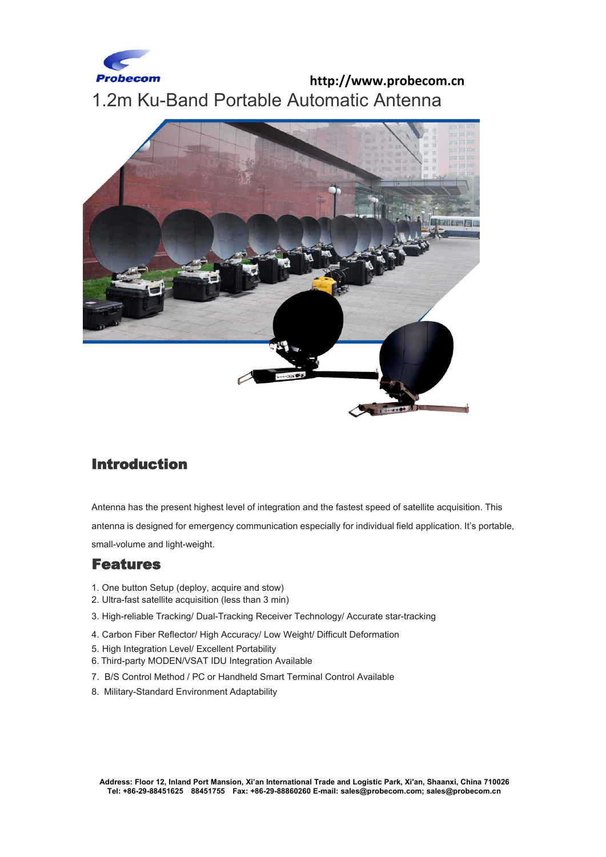

## **http://www.probecom.cn** 1.2m Ku-Band Portable Automatic Antenna



## Introduction

Antenna has the present highest level of integration and the fastest speed of satellite acquisition.This antenna is designed for emergency communication especially for individual field application. It's portable, small-volume and light-weight.

## Features

- 1. One button Setup (deploy, acquire and stow)
- 2. Ultra-fast satellite acquisition (less than 3 min)
- 3. High-reliable Tracking/ Dual-Tracking Receiver Technology/ Accurate star-tracking
- 4. Carbon Fiber Reflector/ High Accuracy/ Low Weight/ Difficult Deformation
- 5. High Integration Level/ Excellent Portability
- 6. Third-party MODEN/VSAT IDU Integration Available
- 7. B/S Control Method / PC or Handheld Smart Terminal Control Available
- 8. Military-Standard Environment Adaptability